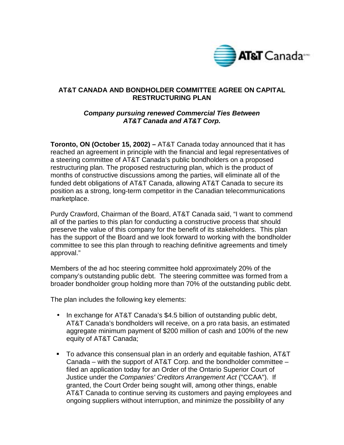

## **AT&T CANADA AND BONDHOLDER COMMITTEE AGREE ON CAPITAL RESTRUCTURING PLAN**

## *Company pursuing renewed Commercial Ties Between AT&T Canada and AT&T Corp.*

**Toronto, ON (October 15, 2002) –** AT&T Canada today announced that it has reached an agreement in principle with the financial and legal representatives of a steering committee of AT&T Canada's public bondholders on a proposed restructuring plan. The proposed restructuring plan, which is the product of months of constructive discussions among the parties, will eliminate all of the funded debt obligations of AT&T Canada, allowing AT&T Canada to secure its position as a strong, long-term competitor in the Canadian telecommunications marketplace.

Purdy Crawford, Chairman of the Board, AT&T Canada said, "I want to commend all of the parties to this plan for conducting a constructive process that should preserve the value of this company for the benefit of its stakeholders. This plan has the support of the Board and we look forward to working with the bondholder committee to see this plan through to reaching definitive agreements and timely approval."

Members of the ad hoc steering committee hold approximately 20% of the company's outstanding public debt. The steering committee was formed from a broader bondholder group holding more than 70% of the outstanding public debt.

The plan includes the following key elements:

- In exchange for AT&T Canada's \$4.5 billion of outstanding public debt, AT&T Canada's bondholders will receive, on a pro rata basis, an estimated aggregate minimum payment of \$200 million of cash and 100% of the new equity of AT&T Canada;
- ! To advance this consensual plan in an orderly and equitable fashion, AT&T Canada – with the support of AT&T Corp. and the bondholder committee – filed an application today for an Order of the Ontario Superior Court of Justice under the *Companies' Creditors Arrangement Act* ("CCAA"). If granted, the Court Order being sought will, among other things, enable AT&T Canada to continue serving its customers and paying employees and ongoing suppliers without interruption, and minimize the possibility of any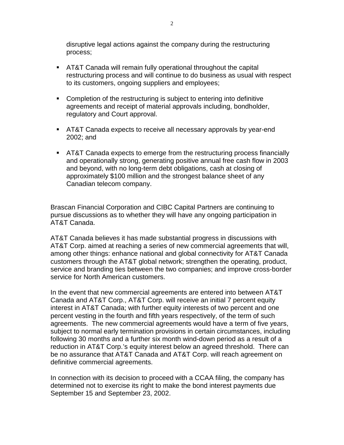disruptive legal actions against the company during the restructuring process;

- **EXTED 12 AT&T** Canada will remain fully operational throughout the capital restructuring process and will continue to do business as usual with respect to its customers, ongoing suppliers and employees;
- **Completion of the restructuring is subject to entering into definitive** agreements and receipt of material approvals including, bondholder, regulatory and Court approval.
- **EXTED 2018 12 AT&T Canada expects to receive all necessary approvals by year-end** 2002; and
- ! AT&T Canada expects to emerge from the restructuring process financially and operationally strong, generating positive annual free cash flow in 2003 and beyond, with no long-term debt obligations, cash at closing of approximately \$100 million and the strongest balance sheet of any Canadian telecom company.

Brascan Financial Corporation and CIBC Capital Partners are continuing to pursue discussions as to whether they will have any ongoing participation in AT&T Canada.

AT&T Canada believes it has made substantial progress in discussions with AT&T Corp. aimed at reaching a series of new commercial agreements that will, among other things: enhance national and global connectivity for AT&T Canada customers through the AT&T global network; strengthen the operating, product, service and branding ties between the two companies; and improve cross-border service for North American customers.

In the event that new commercial agreements are entered into between AT&T Canada and AT&T Corp., AT&T Corp. will receive an initial 7 percent equity interest in AT&T Canada; with further equity interests of two percent and one percent vesting in the fourth and fifth years respectively, of the term of such agreements. The new commercial agreements would have a term of five years, subject to normal early termination provisions in certain circumstances, including following 30 months and a further six month wind-down period as a result of a reduction in AT&T Corp.'s equity interest below an agreed threshold. There can be no assurance that AT&T Canada and AT&T Corp. will reach agreement on definitive commercial agreements.

In connection with its decision to proceed with a CCAA filing, the company has determined not to exercise its right to make the bond interest payments due September 15 and September 23, 2002.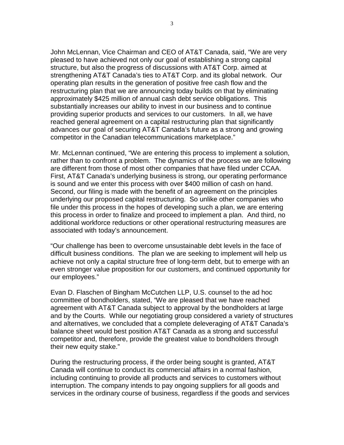John McLennan, Vice Chairman and CEO of AT&T Canada, said, "We are very pleased to have achieved not only our goal of establishing a strong capital structure, but also the progress of discussions with AT&T Corp. aimed at strengthening AT&T Canada's ties to AT&T Corp. and its global network. Our operating plan results in the generation of positive free cash flow and the restructuring plan that we are announcing today builds on that by eliminating approximately \$425 million of annual cash debt service obligations. This substantially increases our ability to invest in our business and to continue providing superior products and services to our customers. In all, we have reached general agreement on a capital restructuring plan that significantly advances our goal of securing AT&T Canada's future as a strong and growing competitor in the Canadian telecommunications marketplace."

Mr. McLennan continued, "We are entering this process to implement a solution, rather than to confront a problem. The dynamics of the process we are following are different from those of most other companies that have filed under CCAA. First, AT&T Canada's underlying business is strong, our operating performance is sound and we enter this process with over \$400 million of cash on hand. Second, our filing is made with the benefit of an agreement on the principles underlying our proposed capital restructuring. So unlike other companies who file under this process in the hopes of developing such a plan, we are entering this process in order to finalize and proceed to implement a plan. And third, no additional workforce reductions or other operational restructuring measures are associated with today's announcement.

"Our challenge has been to overcome unsustainable debt levels in the face of difficult business conditions. The plan we are seeking to implement will help us achieve not only a capital structure free of long-term debt, but to emerge with an even stronger value proposition for our customers, and continued opportunity for our employees."

Evan D. Flaschen of Bingham McCutchen LLP, U.S. counsel to the ad hoc committee of bondholders, stated, "We are pleased that we have reached agreement with AT&T Canada subject to approval by the bondholders at large and by the Courts. While our negotiating group considered a variety of structures and alternatives, we concluded that a complete deleveraging of AT&T Canada's balance sheet would best position AT&T Canada as a strong and successful competitor and, therefore, provide the greatest value to bondholders through their new equity stake."

During the restructuring process, if the order being sought is granted, AT&T Canada will continue to conduct its commercial affairs in a normal fashion, including continuing to provide all products and services to customers without interruption. The company intends to pay ongoing suppliers for all goods and services in the ordinary course of business, regardless if the goods and services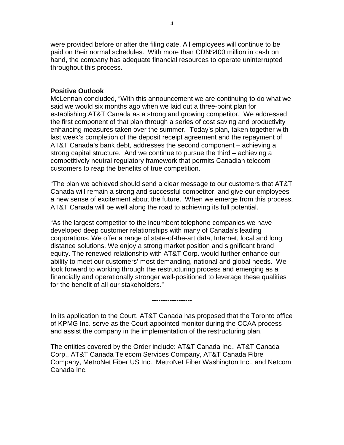were provided before or after the filing date. All employees will continue to be paid on their normal schedules. With more than CDN\$400 million in cash on hand, the company has adequate financial resources to operate uninterrupted throughout this process.

## **Positive Outlook**

McLennan concluded, "With this announcement we are continuing to do what we said we would six months ago when we laid out a three-point plan for establishing AT&T Canada as a strong and growing competitor. We addressed the first component of that plan through a series of cost saving and productivity enhancing measures taken over the summer. Today's plan, taken together with last week's completion of the deposit receipt agreement and the repayment of AT&T Canada's bank debt, addresses the second component – achieving a strong capital structure. And we continue to pursue the third – achieving a competitively neutral regulatory framework that permits Canadian telecom customers to reap the benefits of true competition.

"The plan we achieved should send a clear message to our customers that AT&T Canada will remain a strong and successful competitor, and give our employees a new sense of excitement about the future. When we emerge from this process, AT&T Canada will be well along the road to achieving its full potential.

"As the largest competitor to the incumbent telephone companies we have developed deep customer relationships with many of Canada's leading corporations. We offer a range of state-of-the-art data, Internet, local and long distance solutions. We enjoy a strong market position and significant brand equity. The renewed relationship with AT&T Corp. would further enhance our ability to meet our customers' most demanding, national and global needs. We look forward to working through the restructuring process and emerging as a financially and operationally stronger well-positioned to leverage these qualities for the benefit of all our stakeholders."

In its application to the Court, AT&T Canada has proposed that the Toronto office of KPMG Inc. serve as the Court-appointed monitor during the CCAA process and assist the company in the implementation of the restructuring plan.

------------------

The entities covered by the Order include: AT&T Canada Inc., AT&T Canada Corp., AT&T Canada Telecom Services Company, AT&T Canada Fibre Company, MetroNet Fiber US Inc., MetroNet Fiber Washington Inc., and Netcom Canada Inc.